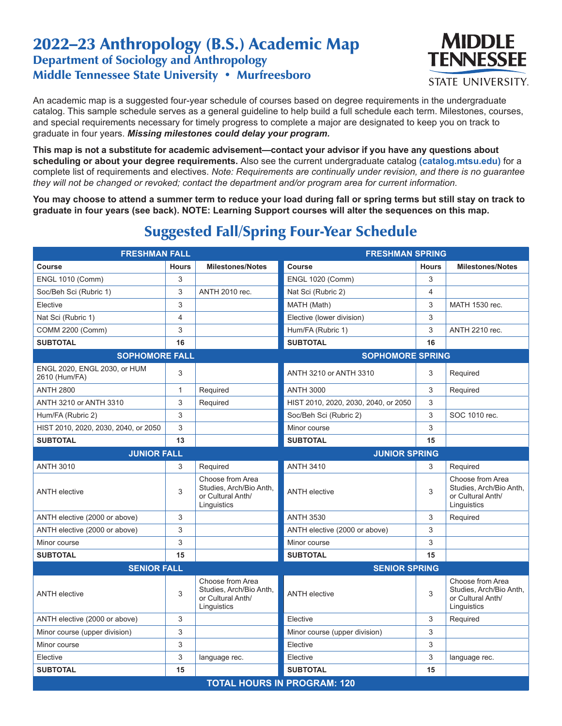## 2022–23 Anthropology (B.S.) Academic Map Department of Sociology and Anthropology Middle Tennessee State University • Murfreesboro



An academic map is a suggested four-year schedule of courses based on degree requirements in the undergraduate catalog. This sample schedule serves as a general guideline to help build a full schedule each term. Milestones, courses, and special requirements necessary for timely progress to complete a major are designated to keep you on track to graduate in four years. *Missing milestones could delay your program.*

**This map is not a substitute for academic advisement—contact your advisor if you have any questions about scheduling or about your degree requirements.** Also see the current undergraduate catalog **(catalog.mtsu.edu)** for a complete list of requirements and electives. *Note: Requirements are continually under revision, and there is no guarantee they will not be changed or revoked; contact the department and/or program area for current information.*

**You may choose to attend a summer term to reduce your load during fall or spring terms but still stay on track to graduate in four years (see back). NOTE: Learning Support courses will alter the sequences on this map.**

| <b>FRESHMAN FALL</b>                             |                |                                                                                 | <b>FRESHMAN SPRING</b>               |              |                                                                                 |  |
|--------------------------------------------------|----------------|---------------------------------------------------------------------------------|--------------------------------------|--------------|---------------------------------------------------------------------------------|--|
| Course                                           | <b>Hours</b>   | <b>Milestones/Notes</b>                                                         | Course                               | <b>Hours</b> | <b>Milestones/Notes</b>                                                         |  |
| <b>ENGL 1010 (Comm)</b>                          | 3              |                                                                                 | <b>ENGL 1020 (Comm)</b>              | 3            |                                                                                 |  |
| Soc/Beh Sci (Rubric 1)                           | 3              | ANTH 2010 rec.                                                                  | Nat Sci (Rubric 2)                   | 4            |                                                                                 |  |
| Elective                                         | 3              |                                                                                 | MATH (Math)                          | 3            | MATH 1530 rec.                                                                  |  |
| Nat Sci (Rubric 1)                               | $\overline{4}$ |                                                                                 | Elective (lower division)            | 3            |                                                                                 |  |
| COMM 2200 (Comm)                                 | 3              |                                                                                 | Hum/FA (Rubric 1)                    | 3            | ANTH 2210 rec.                                                                  |  |
| <b>SUBTOTAL</b>                                  | 16             |                                                                                 | <b>SUBTOTAL</b>                      | 16           |                                                                                 |  |
| <b>SOPHOMORE FALL</b><br><b>SOPHOMORE SPRING</b> |                |                                                                                 |                                      |              |                                                                                 |  |
| ENGL 2020, ENGL 2030, or HUM<br>2610 (Hum/FA)    | 3              |                                                                                 | ANTH 3210 or ANTH 3310               | 3            | Required                                                                        |  |
| <b>ANTH 2800</b>                                 | $\mathbf{1}$   | Required                                                                        | <b>ANTH 3000</b>                     | 3            | Required                                                                        |  |
| ANTH 3210 or ANTH 3310                           | 3              | Required                                                                        | HIST 2010, 2020, 2030, 2040, or 2050 | 3            |                                                                                 |  |
| Hum/FA (Rubric 2)                                | 3              |                                                                                 | Soc/Beh Sci (Rubric 2)               | 3            | SOC 1010 rec.                                                                   |  |
| HIST 2010, 2020, 2030, 2040, or 2050             | 3              |                                                                                 | Minor course                         | 3            |                                                                                 |  |
| <b>SUBTOTAL</b>                                  | 13             |                                                                                 | <b>SUBTOTAL</b>                      | 15           |                                                                                 |  |
| <b>JUNIOR FALL</b>                               |                | <b>JUNIOR SPRING</b>                                                            |                                      |              |                                                                                 |  |
| <b>ANTH 3010</b>                                 | 3              | Required                                                                        | <b>ANTH 3410</b>                     | 3            | Required                                                                        |  |
| <b>ANTH</b> elective                             | 3              | Choose from Area<br>Studies, Arch/Bio Anth.<br>or Cultural Anth/<br>Linguistics | <b>ANTH</b> elective                 | 3            | Choose from Area<br>Studies, Arch/Bio Anth.<br>or Cultural Anth/<br>Linguistics |  |
| ANTH elective (2000 or above)                    | 3              |                                                                                 | <b>ANTH 3530</b>                     | 3            | Required                                                                        |  |
| ANTH elective (2000 or above)                    | 3              |                                                                                 | ANTH elective (2000 or above)        | 3            |                                                                                 |  |
| Minor course                                     | 3              |                                                                                 | Minor course                         | 3            |                                                                                 |  |
| <b>SUBTOTAL</b>                                  | 15             |                                                                                 | <b>SUBTOTAL</b>                      | 15           |                                                                                 |  |
| <b>SENIOR FALL</b>                               |                | <b>SENIOR SPRING</b>                                                            |                                      |              |                                                                                 |  |
| <b>ANTH</b> elective                             | 3              | Choose from Area<br>Studies, Arch/Bio Anth.<br>or Cultural Anth/<br>Linguistics | <b>ANTH</b> elective                 | 3            | Choose from Area<br>Studies, Arch/Bio Anth,<br>or Cultural Anth/<br>Linguistics |  |
| ANTH elective (2000 or above)                    | 3              |                                                                                 | Elective                             | 3            | Required                                                                        |  |
| Minor course (upper division)                    | 3              |                                                                                 | Minor course (upper division)        | 3            |                                                                                 |  |
| Minor course                                     | 3              |                                                                                 | Elective                             | 3            |                                                                                 |  |
| Elective                                         | 3              | language rec.                                                                   | Elective                             | 3            | language rec.                                                                   |  |
| <b>SUBTOTAL</b>                                  | 15             |                                                                                 | <b>SUBTOTAL</b>                      | 15           |                                                                                 |  |
| <b>TOTAL HOURS IN PROGRAM: 120</b>               |                |                                                                                 |                                      |              |                                                                                 |  |

## Suggested Fall/Spring Four-Year Schedule